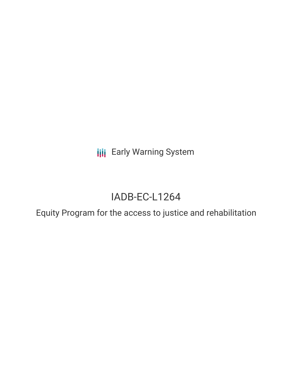**III** Early Warning System

# IADB-EC-L1264

Equity Program for the access to justice and rehabilitation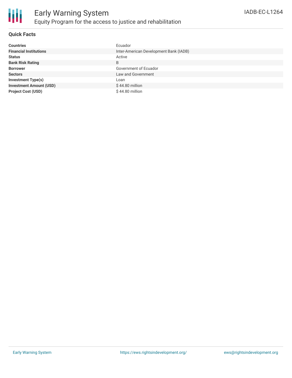

#### **Quick Facts**

| <b>Countries</b>               | Ecuador                                |
|--------------------------------|----------------------------------------|
| <b>Financial Institutions</b>  | Inter-American Development Bank (IADB) |
| <b>Status</b>                  | Active                                 |
| <b>Bank Risk Rating</b>        | B                                      |
| <b>Borrower</b>                | Government of Ecuador                  |
| <b>Sectors</b>                 | Law and Government                     |
| <b>Investment Type(s)</b>      | Loan                                   |
| <b>Investment Amount (USD)</b> | $$44.80$ million                       |
| <b>Project Cost (USD)</b>      | $$44.80$ million                       |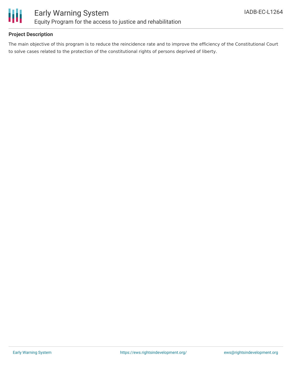

#### **Project Description**

The main objective of this program is to reduce the reincidence rate and to improve the efficiency of the Constitutional Court to solve cases related to the protection of the constitutional rights of persons deprived of liberty.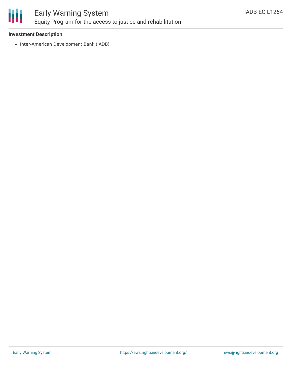

## Early Warning System Equity Program for the access to justice and rehabilitation

#### **Investment Description**

• Inter-American Development Bank (IADB)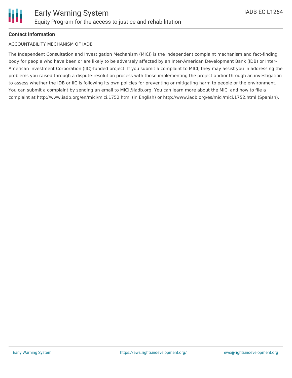#### **Contact Information**

#### ACCOUNTABILITY MECHANISM OF IADB

The Independent Consultation and Investigation Mechanism (MICI) is the independent complaint mechanism and fact-finding body for people who have been or are likely to be adversely affected by an Inter-American Development Bank (IDB) or Inter-American Investment Corporation (IIC)-funded project. If you submit a complaint to MICI, they may assist you in addressing the problems you raised through a dispute-resolution process with those implementing the project and/or through an investigation to assess whether the IDB or IIC is following its own policies for preventing or mitigating harm to people or the environment. You can submit a complaint by sending an email to MICI@iadb.org. You can learn more about the MICI and how to file a complaint at http://www.iadb.org/en/mici/mici,1752.html (in English) or http://www.iadb.org/es/mici/mici,1752.html (Spanish).